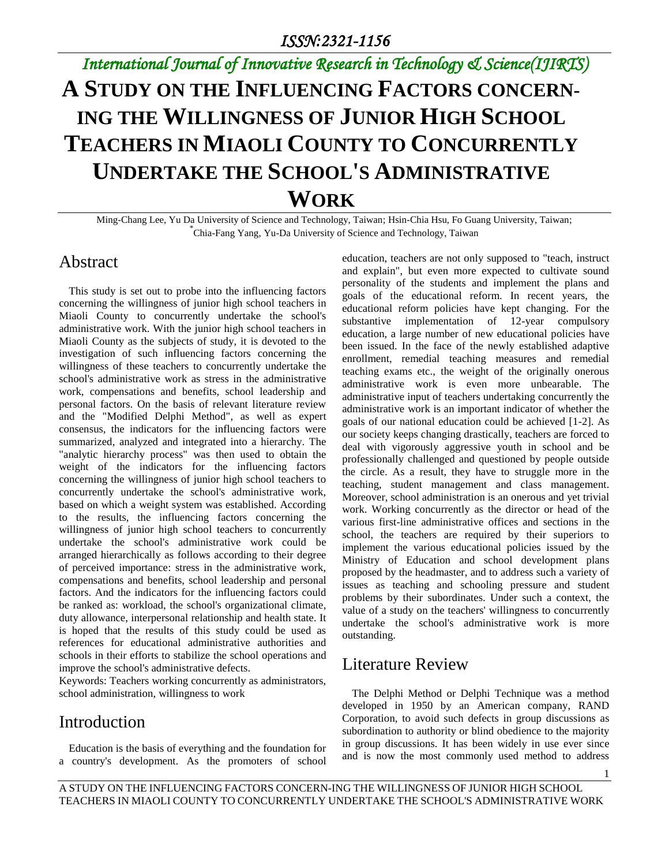# *International Journal of Innovative Research in Technology & Science(IJIRTS)* **A STUDY ON THE INFLUENCING FACTORS CONCERN-ING THE WILLINGNESS OF JUNIOR HIGH SCHOOL TEACHERS IN MIAOLI COUNTY TO CONCURRENTLY UNDERTAKE THE SCHOOL'S ADMINISTRATIVE WORK**

Ming-Chang Lee, Yu Da University of Science and Technology, Taiwan; Hsin-Chia Hsu, Fo Guang University, Taiwan; \* Chia-Fang Yang, Yu-Da University of Science and Technology, Taiwan

#### Abstract

This study is set out to probe into the influencing factors concerning the willingness of junior high school teachers in Miaoli County to concurrently undertake the school's administrative work. With the junior high school teachers in Miaoli County as the subjects of study, it is devoted to the investigation of such influencing factors concerning the willingness of these teachers to concurrently undertake the school's administrative work as stress in the administrative work, compensations and benefits, school leadership and personal factors. On the basis of relevant literature review and the "Modified Delphi Method", as well as expert consensus, the indicators for the influencing factors were summarized, analyzed and integrated into a hierarchy. The "analytic hierarchy process" was then used to obtain the weight of the indicators for the influencing factors concerning the willingness of junior high school teachers to concurrently undertake the school's administrative work, based on which a weight system was established. According to the results, the influencing factors concerning the willingness of junior high school teachers to concurrently undertake the school's administrative work could be arranged hierarchically as follows according to their degree of perceived importance: stress in the administrative work, compensations and benefits, school leadership and personal factors. And the indicators for the influencing factors could be ranked as: workload, the school's organizational climate, duty allowance, interpersonal relationship and health state. It is hoped that the results of this study could be used as references for educational administrative authorities and schools in their efforts to stabilize the school operations and improve the school's administrative defects.

Keywords: Teachers working concurrently as administrators, school administration, willingness to work

#### Introduction

Education is the basis of everything and the foundation for a country's development. As the promoters of school education, teachers are not only supposed to "teach, instruct and explain", but even more expected to cultivate sound personality of the students and implement the plans and goals of the educational reform. In recent years, the educational reform policies have kept changing. For the substantive implementation of 12-year compulsory education, a large number of new educational policies have been issued. In the face of the newly established adaptive enrollment, remedial teaching measures and remedial teaching exams etc., the weight of the originally onerous administrative work is even more unbearable. The administrative input of teachers undertaking concurrently the administrative work is an important indicator of whether the goals of our national education could be achieved [1-2]. As our society keeps changing drastically, teachers are forced to deal with vigorously aggressive youth in school and be professionally challenged and questioned by people outside the circle. As a result, they have to struggle more in the teaching, student management and class management. Moreover, school administration is an onerous and yet trivial work. Working concurrently as the director or head of the various first-line administrative offices and sections in the school, the teachers are required by their superiors to implement the various educational policies issued by the Ministry of Education and school development plans proposed by the headmaster, and to address such a variety of issues as teaching and schooling pressure and student problems by their subordinates. Under such a context, the value of a study on the teachers' willingness to concurrently undertake the school's administrative work is more outstanding.

#### Literature Review

The Delphi Method or Delphi Technique was a method developed in 1950 by an American company, RAND Corporation, to avoid such defects in group discussions as subordination to authority or blind obedience to the majority in group discussions. It has been widely in use ever since and is now the most commonly used method to address

1

A STUDY ON THE INFLUENCING FACTORS CONCERN-ING THE WILLINGNESS OF JUNIOR HIGH SCHOOL TEACHERS IN MIAOLI COUNTY TO CONCURRENTLY UNDERTAKE THE SCHOOL'S ADMINISTRATIVE WORK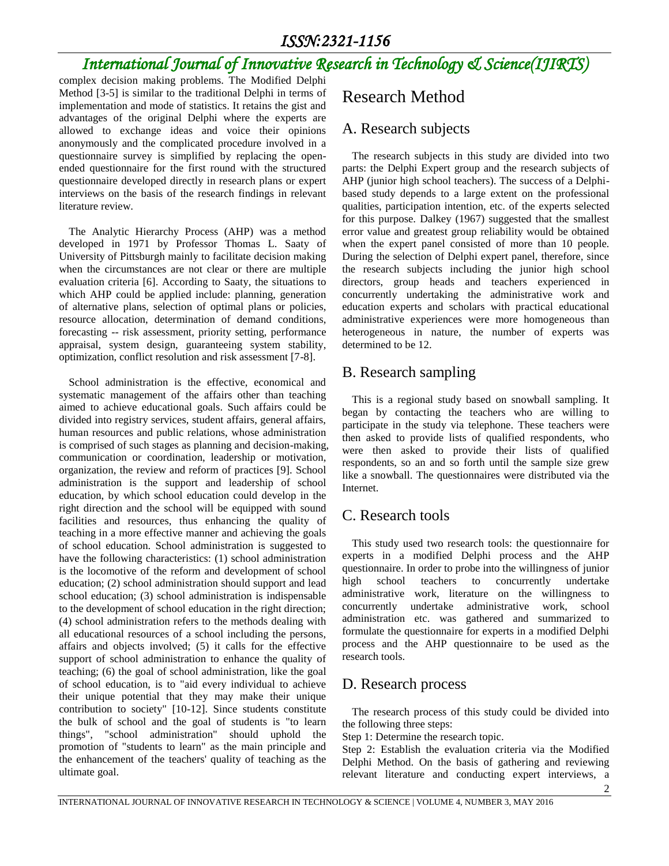#### *ISSN:2321-1156*

## *International Journal of Innovative Research in Technology & Science(IJIRTS)*

complex decision making problems. The Modified Delphi Method [3-5] is similar to the traditional Delphi in terms of implementation and mode of statistics. It retains the gist and advantages of the original Delphi where the experts are allowed to exchange ideas and voice their opinions anonymously and the complicated procedure involved in a questionnaire survey is simplified by replacing the openended questionnaire for the first round with the structured questionnaire developed directly in research plans or expert interviews on the basis of the research findings in relevant literature review.

The Analytic Hierarchy Process (AHP) was a method developed in 1971 by Professor Thomas L. Saaty of University of Pittsburgh mainly to facilitate decision making when the circumstances are not clear or there are multiple evaluation criteria [6]. According to Saaty, the situations to which AHP could be applied include: planning, generation of alternative plans, selection of optimal plans or policies, resource allocation, determination of demand conditions, forecasting -- risk assessment, priority setting, performance appraisal, system design, guaranteeing system stability, optimization, conflict resolution and risk assessment [7-8].

School administration is the effective, economical and systematic management of the affairs other than teaching aimed to achieve educational goals. Such affairs could be divided into registry services, student affairs, general affairs, human resources and public relations, whose administration is comprised of such stages as planning and decision-making, communication or coordination, leadership or motivation, organization, the review and reform of practices [9]. School administration is the support and leadership of school education, by which school education could develop in the right direction and the school will be equipped with sound facilities and resources, thus enhancing the quality of teaching in a more effective manner and achieving the goals of school education. School administration is suggested to have the following characteristics: (1) school administration is the locomotive of the reform and development of school education; (2) school administration should support and lead school education; (3) school administration is indispensable to the development of school education in the right direction; (4) school administration refers to the methods dealing with all educational resources of a school including the persons, affairs and objects involved; (5) it calls for the effective support of school administration to enhance the quality of teaching; (6) the goal of school administration, like the goal of school education, is to "aid every individual to achieve their unique potential that they may make their unique contribution to society" [10-12]. Since students constitute the bulk of school and the goal of students is "to learn things", "school administration" should uphold the promotion of "students to learn" as the main principle and the enhancement of the teachers' quality of teaching as the ultimate goal.

#### Research Method

#### A. Research subjects

The research subjects in this study are divided into two parts: the Delphi Expert group and the research subjects of AHP (junior high school teachers). The success of a Delphibased study depends to a large extent on the professional qualities, participation intention, etc. of the experts selected for this purpose. Dalkey (1967) suggested that the smallest error value and greatest group reliability would be obtained when the expert panel consisted of more than 10 people. During the selection of Delphi expert panel, therefore, since the research subjects including the junior high school directors, group heads and teachers experienced in concurrently undertaking the administrative work and education experts and scholars with practical educational administrative experiences were more homogeneous than heterogeneous in nature, the number of experts was determined to be 12.

#### B. Research sampling

This is a regional study based on snowball sampling. It began by contacting the teachers who are willing to participate in the study via telephone. These teachers were then asked to provide lists of qualified respondents, who were then asked to provide their lists of qualified respondents, so an and so forth until the sample size grew like a snowball. The questionnaires were distributed via the Internet.

#### C. Research tools

This study used two research tools: the questionnaire for experts in a modified Delphi process and the AHP questionnaire. In order to probe into the willingness of junior high school teachers to concurrently undertake administrative work, literature on the willingness to concurrently undertake administrative work, school administration etc. was gathered and summarized to formulate the questionnaire for experts in a modified Delphi process and the AHP questionnaire to be used as the research tools.

#### D. Research process

The research process of this study could be divided into the following three steps:

Step 1: Determine the research topic.

Step 2: Establish the evaluation criteria via the Modified Delphi Method. On the basis of gathering and reviewing relevant literature and conducting expert interviews, a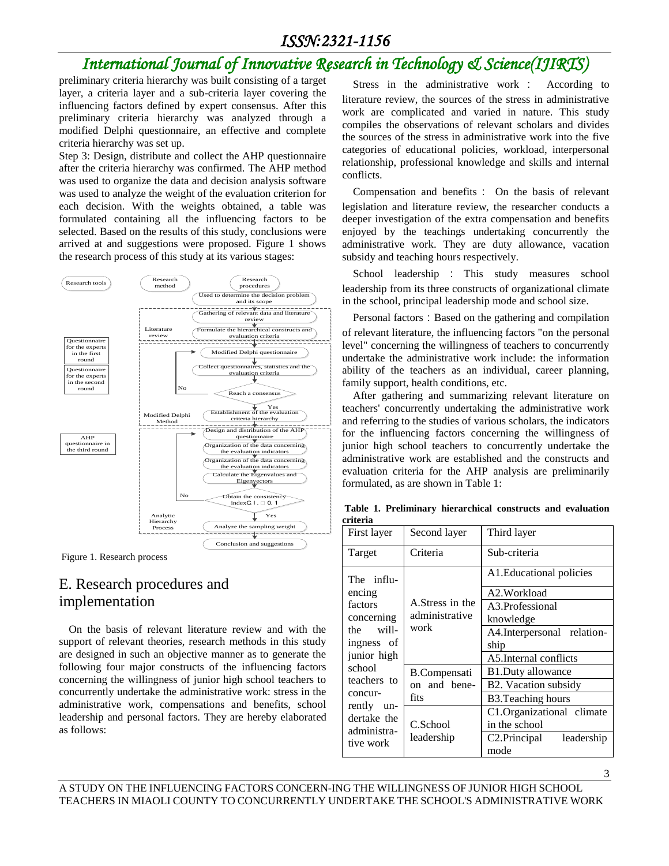#### *ISSN:2321-1156*

### *International Journal of Innovative Research in Technology & Science(IJIRTS)*

preliminary criteria hierarchy was built consisting of a target layer, a criteria layer and a sub-criteria layer covering the influencing factors defined by expert consensus. After this preliminary criteria hierarchy was analyzed through a modified Delphi questionnaire, an effective and complete criteria hierarchy was set up.

Step 3: Design, distribute and collect the AHP questionnaire after the criteria hierarchy was confirmed. The AHP method was used to organize the data and decision analysis software was used to analyze the weight of the evaluation criterion for each decision. With the weights obtained, a table was formulated containing all the influencing factors to be selected. Based on the results of this study, conclusions were arrived at and suggestions were proposed. Figure 1 shows the research process of this study at its various stages:



Figure 1. Research process

#### E. Research procedures and implementation

On the basis of relevant literature review and with the support of relevant theories, research methods in this study are designed in such an objective manner as to generate the following four major constructs of the influencing factors concerning the willingness of junior high school teachers to concurrently undertake the administrative work: stress in the administrative work, compensations and benefits, school leadership and personal factors. They are hereby elaborated as follows:

Stress in the administrative work : According to literature review, the sources of the stress in administrative work are complicated and varied in nature. This study compiles the observations of relevant scholars and divides the sources of the stress in administrative work into the five categories of educational policies, workload, interpersonal relationship, professional knowledge and skills and internal conflicts.

Compensation and benefits: On the basis of relevant legislation and literature review, the researcher conducts a deeper investigation of the extra compensation and benefits enjoyed by the teachings undertaking concurrently the administrative work. They are duty allowance, vacation subsidy and teaching hours respectively.

School leadership : This study measures school leadership from its three constructs of organizational climate in the school, principal leadership mode and school size.

Personal factors: Based on the gathering and compilation of relevant literature, the influencing factors "on the personal level" concerning the willingness of teachers to concurrently undertake the administrative work include: the information ability of the teachers as an individual, career planning, family support, health conditions, etc.

After gathering and summarizing relevant literature on teachers' concurrently undertaking the administrative work and referring to the studies of various scholars, the indicators for the influencing factors concerning the willingness of junior high school teachers to concurrently undertake the administrative work are established and the constructs and evaluation criteria for the AHP analysis are preliminarily formulated, as are shown in Table 1:

**Table 1. Preliminary hierarchical constructs and evaluation criteria**

| First layer                                                                                                 | Second layer                                | Third layer                             |  |
|-------------------------------------------------------------------------------------------------------------|---------------------------------------------|-----------------------------------------|--|
| Target                                                                                                      | Criteria                                    | Sub-criteria                            |  |
| The influ-<br>encing<br>factors<br>concerning                                                               | A.Stress in the<br>administrative<br>work   | A1. Educational policies                |  |
|                                                                                                             |                                             | A2.Workload                             |  |
|                                                                                                             |                                             | A3.Professional                         |  |
|                                                                                                             |                                             | knowledge                               |  |
| the will-                                                                                                   |                                             | A4. Interpersonal relation-             |  |
| ingness of                                                                                                  |                                             | ship                                    |  |
| junior high<br>school<br>teachers to<br>concur-<br>rently<br>un-<br>dertake the<br>administra-<br>tive work |                                             | A5.Internal conflicts                   |  |
|                                                                                                             | <b>B.Compensati</b><br>on and bene-<br>fits | <b>B1.Duty allowance</b>                |  |
|                                                                                                             |                                             | B2. Vacation subsidy                    |  |
|                                                                                                             |                                             | <b>B3. Teaching hours</b>               |  |
|                                                                                                             | C.School<br>leadership                      | C1.Organizational climate               |  |
|                                                                                                             |                                             | in the school                           |  |
|                                                                                                             |                                             | C <sub>2</sub> .Principal<br>leadership |  |
|                                                                                                             |                                             | mode                                    |  |

3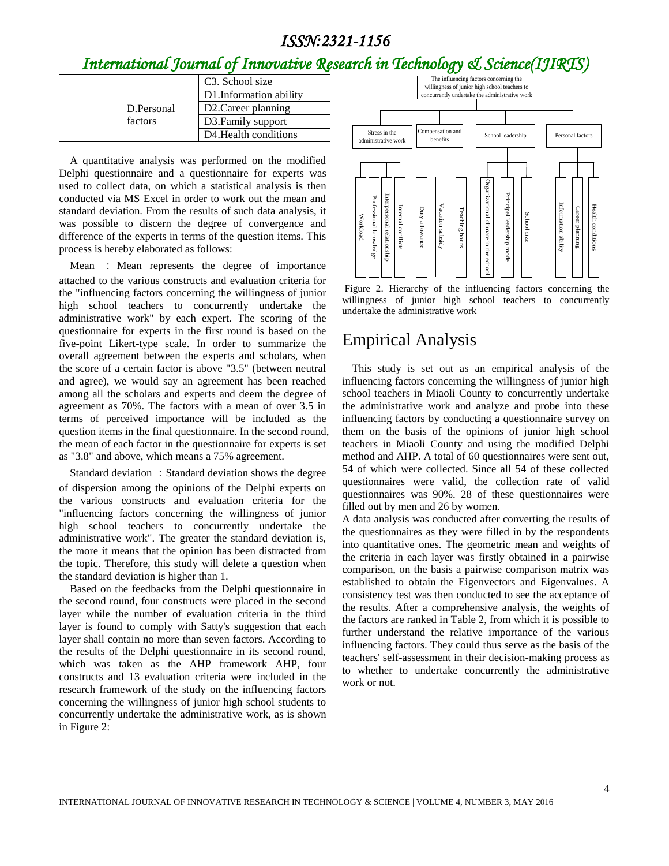#### *ISSN:2321-1156*

# *International Journal of Innovative Research in Technology & Science(IJIRTS)*

|            | C <sub>3</sub> . School size       |
|------------|------------------------------------|
|            | D1. Information ability            |
| D.Personal | D2. Career planning                |
| factors    | D3. Family support                 |
|            | D <sub>4</sub> . Health conditions |

A quantitative analysis was performed on the modified Delphi questionnaire and a questionnaire for experts was used to collect data, on which a statistical analysis is then conducted via MS Excel in order to work out the mean and standard deviation. From the results of such data analysis, it was possible to discern the degree of convergence and difference of the experts in terms of the question items. This process is hereby elaborated as follows:

Mean : Mean represents the degree of importance attached to the various constructs and evaluation criteria for the "influencing factors concerning the willingness of junior high school teachers to concurrently undertake the administrative work" by each expert. The scoring of the questionnaire for experts in the first round is based on the five-point Likert-type scale. In order to summarize the overall agreement between the experts and scholars, when the score of a certain factor is above "3.5" (between neutral and agree), we would say an agreement has been reached among all the scholars and experts and deem the degree of agreement as 70%. The factors with a mean of over 3.5 in terms of perceived importance will be included as the question items in the final questionnaire. In the second round, the mean of each factor in the questionnaire for experts is set as "3.8" and above, which means a 75% agreement.

Standard deviation: Standard deviation shows the degree of dispersion among the opinions of the Delphi experts on the various constructs and evaluation criteria for the "influencing factors concerning the willingness of junior high school teachers to concurrently undertake the administrative work". The greater the standard deviation is, the more it means that the opinion has been distracted from the topic. Therefore, this study will delete a question when the standard deviation is higher than 1.

Based on the feedbacks from the Delphi questionnaire in the second round, four constructs were placed in the second layer while the number of evaluation criteria in the third layer is found to comply with Satty's suggestion that each layer shall contain no more than seven factors. According to the results of the Delphi questionnaire in its second round, which was taken as the AHP framework AHP, four constructs and 13 evaluation criteria were included in the research framework of the study on the influencing factors concerning the willingness of junior high school students to concurrently undertake the administrative work, as is shown in Figure 2:





#### Empirical Analysis

This study is set out as an empirical analysis of the influencing factors concerning the willingness of junior high school teachers in Miaoli County to concurrently undertake the administrative work and analyze and probe into these influencing factors by conducting a questionnaire survey on them on the basis of the opinions of junior high school teachers in Miaoli County and using the modified Delphi method and AHP. A total of 60 questionnaires were sent out, 54 of which were collected. Since all 54 of these collected questionnaires were valid, the collection rate of valid questionnaires was 90%. 28 of these questionnaires were filled out by men and 26 by women.

A data analysis was conducted after converting the results of the questionnaires as they were filled in by the respondents into quantitative ones. The geometric mean and weights of the criteria in each layer was firstly obtained in a pairwise comparison, on the basis a pairwise comparison matrix was established to obtain the Eigenvectors and Eigenvalues. A consistency test was then conducted to see the acceptance of the results. After a comprehensive analysis, the weights of the factors are ranked in Table 2, from which it is possible to further understand the relative importance of the various influencing factors. They could thus serve as the basis of the teachers' self-assessment in their decision-making process as to whether to undertake concurrently the administrative work or not.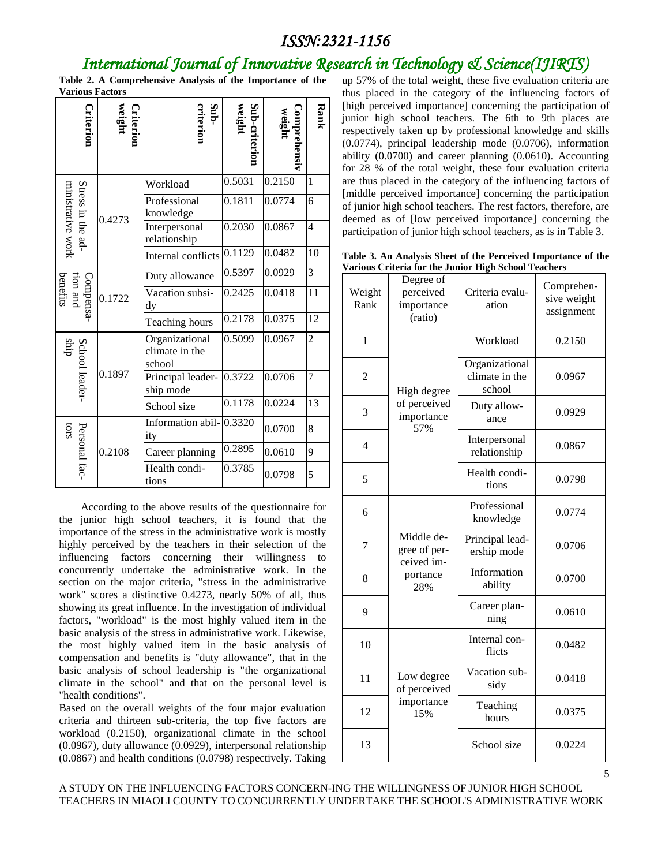## *International Journal of Innovative Research in Technology & Science(IJIRTS)*

**Table 2. A Comprehensive Analysis of the Importance of the Various Factors**

| riterion                               | <b>Criterion</b><br>weight | Sub-<br>riterior                           | Sub-criterion<br>weight | Comprehensiv<br>weigh | Rank                     |
|----------------------------------------|----------------------------|--------------------------------------------|-------------------------|-----------------------|--------------------------|
| Stress in the ad-<br>ministrative work | 0.4273                     | Workload                                   | 0.5031                  | 0.2150                | $\mathbf{1}$             |
|                                        |                            | Professional<br>knowledge                  | 0.1811                  | 0.0774                | 6                        |
|                                        |                            | Interpersonal<br>relationship              | 0.2030                  | 0.0867                | $\overline{\mathcal{L}}$ |
|                                        |                            | Internal conflicts                         | 0.1129                  | 0.0482                | 10                       |
| benefits<br>tion and<br>Compensa-      | 0.1722                     | Duty allowance                             | 0.5397                  | 0.0929                | 3                        |
|                                        |                            | Vacation subsi-<br>dy                      | 0.2425                  | 0.0418                | 11                       |
|                                        |                            | Teaching hours                             | 0.2178                  | 0.0375                | 12                       |
| School leader-<br>ship                 | 0.1897                     | Organizational<br>climate in the<br>school | 0.5099                  | 0.0967                | $\overline{2}$           |
|                                        |                            | Principal leader-<br>ship mode             | 0.3722                  | 0.0706                | $\overline{7}$           |
|                                        |                            | School size                                | 0.1178                  | 0.0224                | 13                       |
| Personal fac-<br>cros                  | 0.2108                     | Information abil-<br>ity                   | 0.3320                  | 0.0700                | 8                        |
|                                        |                            | Career planning                            | 0.2895                  | 0.0610                | 9                        |
|                                        |                            | Health condi-<br>tions                     | 0.3785                  | 0.0798                | 5                        |

According to the above results of the questionnaire for the junior high school teachers, it is found that the importance of the stress in the administrative work is mostly highly perceived by the teachers in their selection of the influencing factors concerning their willingness to concurrently undertake the administrative work. In the section on the major criteria, "stress in the administrative work" scores a distinctive 0.4273, nearly 50% of all, thus showing its great influence. In the investigation of individual factors, "workload" is the most highly valued item in the basic analysis of the stress in administrative work. Likewise, the most highly valued item in the basic analysis of compensation and benefits is "duty allowance", that in the basic analysis of school leadership is "the organizational climate in the school" and that on the personal level is "health conditions".

Based on the overall weights of the four major evaluation criteria and thirteen sub-criteria, the top five factors are workload (0.2150), organizational climate in the school (0.0967), duty allowance (0.0929), interpersonal relationship (0.0867) and health conditions (0.0798) respectively. Taking

up 57% of the total weight, these five evaluation criteria are thus placed in the category of the influencing factors of [high perceived importance] concerning the participation of junior high school teachers. The 6th to 9th places are respectively taken up by professional knowledge and skills (0.0774), principal leadership mode (0.0706), information ability (0.0700) and career planning (0.0610). Accounting for 28 % of the total weight, these four evaluation criteria are thus placed in the category of the influencing factors of [middle perceived importance] concerning the participation of junior high school teachers. The rest factors, therefore, are deemed as of [low perceived importance] concerning the participation of junior high school teachers, as is in Table 3.

**Table 3. An Analysis Sheet of the Perceived Importance of the Various Criteria for the Junior High School Teachers**

| Weight<br>Rank | Degree of<br>perceived<br>importance<br>(ratio)             | arious Criteria for the Junior Trigh School Teachers<br>Criteria evalu-<br>ation | Comprehen-<br>sive weight<br>assignment |
|----------------|-------------------------------------------------------------|----------------------------------------------------------------------------------|-----------------------------------------|
| $\mathbf{1}$   | High degree<br>of perceived<br>importance<br>57%            | Workload                                                                         | 0.2150                                  |
| $\overline{2}$ |                                                             | Organizational<br>climate in the<br>school                                       | 0.0967                                  |
| 3              |                                                             | Duty allow-<br>ance                                                              | 0.0929                                  |
| $\overline{4}$ |                                                             | Interpersonal<br>relationship                                                    | 0.0867                                  |
| 5              |                                                             | Health condi-<br>tions                                                           | 0.0798                                  |
| 6              | Middle de-<br>gree of per-<br>ceived im-<br>portance<br>28% | Professional<br>knowledge                                                        | 0.0774                                  |
| 7              |                                                             | Principal lead-<br>ership mode                                                   | 0.0706                                  |
| 8              |                                                             | Information<br>ability                                                           | 0.0700                                  |
| 9              |                                                             | Career plan-<br>ning                                                             | 0.0610                                  |
| 10             | Low degree<br>of perceived<br>importance<br>15%             | Internal con-<br>flicts                                                          | 0.0482                                  |
| 11             |                                                             | Vacation sub-<br>sidy                                                            | 0.0418                                  |
| 12             |                                                             | Teaching<br>hours                                                                | 0.0375                                  |
| 13             |                                                             | School size                                                                      | 0.0224                                  |

A STUDY ON THE INFLUENCING FACTORS CONCERN-ING THE WILLINGNESS OF JUNIOR HIGH SCHOOL TEACHERS IN MIAOLI COUNTY TO CONCURRENTLY UNDERTAKE THE SCHOOL'S ADMINISTRATIVE WORK